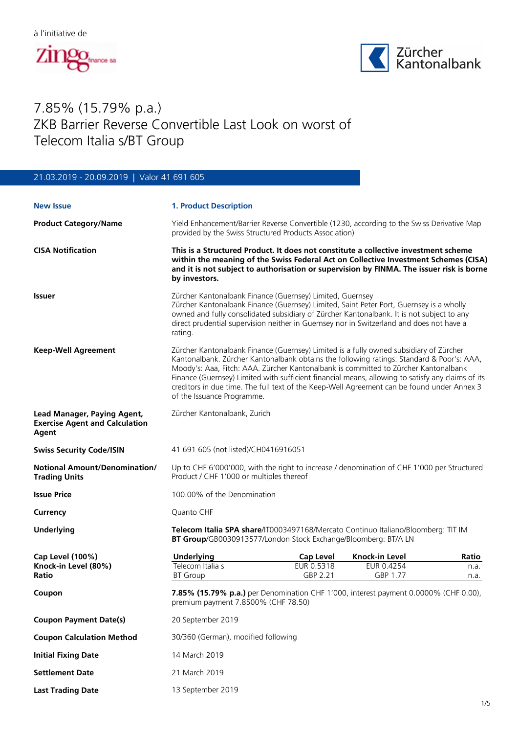

21.03.2019 - 20.09.2019 | Valor 41 691 605



## 7.85% (15.79% p.a.) ZKB Barrier Reverse Convertible Last Look on worst of Telecom Italia s/BT Group

| <b>New Issue</b>                                                              | <b>1. Product Description</b>                                                                                                                                                                                                                                                                                                                                                                                                                                                                               |                                                                |                                                                                             |                       |
|-------------------------------------------------------------------------------|-------------------------------------------------------------------------------------------------------------------------------------------------------------------------------------------------------------------------------------------------------------------------------------------------------------------------------------------------------------------------------------------------------------------------------------------------------------------------------------------------------------|----------------------------------------------------------------|---------------------------------------------------------------------------------------------|-----------------------|
| <b>Product Category/Name</b>                                                  | Yield Enhancement/Barrier Reverse Convertible (1230, according to the Swiss Derivative Map<br>provided by the Swiss Structured Products Association)                                                                                                                                                                                                                                                                                                                                                        |                                                                |                                                                                             |                       |
| <b>CISA Notification</b>                                                      | This is a Structured Product. It does not constitute a collective investment scheme<br>within the meaning of the Swiss Federal Act on Collective Investment Schemes (CISA)<br>and it is not subject to authorisation or supervision by FINMA. The issuer risk is borne<br>by investors.                                                                                                                                                                                                                     |                                                                |                                                                                             |                       |
| <b>Issuer</b>                                                                 | Zürcher Kantonalbank Finance (Guernsey) Limited, Guernsey<br>Zürcher Kantonalbank Finance (Guernsey) Limited, Saint Peter Port, Guernsey is a wholly<br>owned and fully consolidated subsidiary of Zürcher Kantonalbank. It is not subject to any<br>direct prudential supervision neither in Guernsey nor in Switzerland and does not have a<br>rating.                                                                                                                                                    |                                                                |                                                                                             |                       |
| <b>Keep-Well Agreement</b>                                                    | Zürcher Kantonalbank Finance (Guernsey) Limited is a fully owned subsidiary of Zürcher<br>Kantonalbank. Zürcher Kantonalbank obtains the following ratings: Standard & Poor's: AAA,<br>Moody's: Aaa, Fitch: AAA. Zürcher Kantonalbank is committed to Zürcher Kantonalbank<br>Finance (Guernsey) Limited with sufficient financial means, allowing to satisfy any claims of its<br>creditors in due time. The full text of the Keep-Well Agreement can be found under Annex 3<br>of the Issuance Programme. |                                                                |                                                                                             |                       |
| Lead Manager, Paying Agent,<br><b>Exercise Agent and Calculation</b><br>Agent | Zürcher Kantonalbank, Zurich                                                                                                                                                                                                                                                                                                                                                                                                                                                                                |                                                                |                                                                                             |                       |
| <b>Swiss Security Code/ISIN</b>                                               | 41 691 605 (not listed)/CH0416916051                                                                                                                                                                                                                                                                                                                                                                                                                                                                        |                                                                |                                                                                             |                       |
| <b>Notional Amount/Denomination/</b><br><b>Trading Units</b>                  | Up to CHF 6'000'000, with the right to increase / denomination of CHF 1'000 per Structured<br>Product / CHF 1'000 or multiples thereof                                                                                                                                                                                                                                                                                                                                                                      |                                                                |                                                                                             |                       |
| <b>Issue Price</b>                                                            | 100.00% of the Denomination                                                                                                                                                                                                                                                                                                                                                                                                                                                                                 |                                                                |                                                                                             |                       |
| Currency                                                                      | Quanto CHF                                                                                                                                                                                                                                                                                                                                                                                                                                                                                                  |                                                                |                                                                                             |                       |
| <b>Underlying</b>                                                             |                                                                                                                                                                                                                                                                                                                                                                                                                                                                                                             | BT Group/GB0030913577/London Stock Exchange/Bloomberg: BT/A LN | Telecom Italia SPA share/IT0003497168/Mercato Continuo Italiano/Bloomberg: TIT IM           |                       |
| Cap Level (100%)<br>Knock-in Level (80%)<br>Ratio                             | <b>Underlying</b><br>Telecom Italia s<br>BI Group                                                                                                                                                                                                                                                                                                                                                                                                                                                           | <b>Cap Level</b><br>EUR 0.5318<br>GBP 2.21                     | Knock-in Level<br>EUR 0.4254<br>GBP 1.77                                                    | Ratio<br>n.a.<br>n.a. |
| Coupon                                                                        | premium payment 7.8500% (CHF 78.50)                                                                                                                                                                                                                                                                                                                                                                                                                                                                         |                                                                | <b>7.85% (15.79% p.a.)</b> per Denomination CHF 1'000, interest payment 0.0000% (CHF 0.00), |                       |
| <b>Coupon Payment Date(s)</b>                                                 | 20 September 2019                                                                                                                                                                                                                                                                                                                                                                                                                                                                                           |                                                                |                                                                                             |                       |
| <b>Coupon Calculation Method</b>                                              | 30/360 (German), modified following                                                                                                                                                                                                                                                                                                                                                                                                                                                                         |                                                                |                                                                                             |                       |
| <b>Initial Fixing Date</b>                                                    | 14 March 2019                                                                                                                                                                                                                                                                                                                                                                                                                                                                                               |                                                                |                                                                                             |                       |
| <b>Settlement Date</b>                                                        | 21 March 2019                                                                                                                                                                                                                                                                                                                                                                                                                                                                                               |                                                                |                                                                                             |                       |
| <b>Last Trading Date</b>                                                      | 13 September 2019                                                                                                                                                                                                                                                                                                                                                                                                                                                                                           |                                                                |                                                                                             |                       |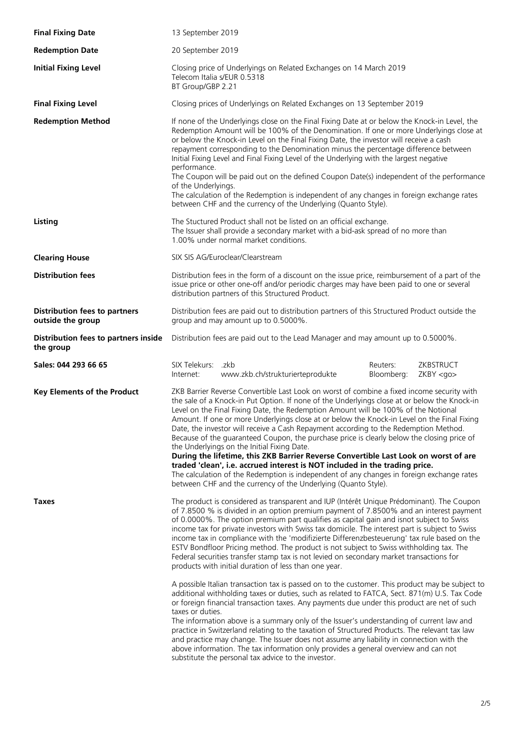| <b>Final Fixing Date</b>                                  | 13 September 2019                                                                                                                                                                                                                                                                                                                                                                                                                                                                                                                                                                                                                                                                                                                                                                                                                                                                                                                                                                                                                                                                                                                                                                                                                                                                                                                                                                                                                                                                              |                                  |  |                        |                                 |
|-----------------------------------------------------------|------------------------------------------------------------------------------------------------------------------------------------------------------------------------------------------------------------------------------------------------------------------------------------------------------------------------------------------------------------------------------------------------------------------------------------------------------------------------------------------------------------------------------------------------------------------------------------------------------------------------------------------------------------------------------------------------------------------------------------------------------------------------------------------------------------------------------------------------------------------------------------------------------------------------------------------------------------------------------------------------------------------------------------------------------------------------------------------------------------------------------------------------------------------------------------------------------------------------------------------------------------------------------------------------------------------------------------------------------------------------------------------------------------------------------------------------------------------------------------------------|----------------------------------|--|------------------------|---------------------------------|
| <b>Redemption Date</b>                                    | 20 September 2019                                                                                                                                                                                                                                                                                                                                                                                                                                                                                                                                                                                                                                                                                                                                                                                                                                                                                                                                                                                                                                                                                                                                                                                                                                                                                                                                                                                                                                                                              |                                  |  |                        |                                 |
| <b>Initial Fixing Level</b>                               | Closing price of Underlyings on Related Exchanges on 14 March 2019<br>Telecom Italia s/EUR 0.5318<br>BT Group/GBP 2.21                                                                                                                                                                                                                                                                                                                                                                                                                                                                                                                                                                                                                                                                                                                                                                                                                                                                                                                                                                                                                                                                                                                                                                                                                                                                                                                                                                         |                                  |  |                        |                                 |
| <b>Final Fixing Level</b>                                 | Closing prices of Underlyings on Related Exchanges on 13 September 2019                                                                                                                                                                                                                                                                                                                                                                                                                                                                                                                                                                                                                                                                                                                                                                                                                                                                                                                                                                                                                                                                                                                                                                                                                                                                                                                                                                                                                        |                                  |  |                        |                                 |
| <b>Redemption Method</b>                                  | If none of the Underlyings close on the Final Fixing Date at or below the Knock-in Level, the<br>Redemption Amount will be 100% of the Denomination. If one or more Underlyings close at<br>or below the Knock-in Level on the Final Fixing Date, the investor will receive a cash<br>repayment corresponding to the Denomination minus the percentage difference between<br>Initial Fixing Level and Final Fixing Level of the Underlying with the largest negative<br>performance.<br>The Coupon will be paid out on the defined Coupon Date(s) independent of the performance<br>of the Underlyings.<br>The calculation of the Redemption is independent of any changes in foreign exchange rates<br>between CHF and the currency of the Underlying (Quanto Style).                                                                                                                                                                                                                                                                                                                                                                                                                                                                                                                                                                                                                                                                                                                         |                                  |  |                        |                                 |
| Listing                                                   | The Stuctured Product shall not be listed on an official exchange.<br>The Issuer shall provide a secondary market with a bid-ask spread of no more than<br>1.00% under normal market conditions.                                                                                                                                                                                                                                                                                                                                                                                                                                                                                                                                                                                                                                                                                                                                                                                                                                                                                                                                                                                                                                                                                                                                                                                                                                                                                               |                                  |  |                        |                                 |
| <b>Clearing House</b>                                     | SIX SIS AG/Euroclear/Clearstream                                                                                                                                                                                                                                                                                                                                                                                                                                                                                                                                                                                                                                                                                                                                                                                                                                                                                                                                                                                                                                                                                                                                                                                                                                                                                                                                                                                                                                                               |                                  |  |                        |                                 |
| <b>Distribution fees</b>                                  | Distribution fees in the form of a discount on the issue price, reimbursement of a part of the<br>issue price or other one-off and/or periodic charges may have been paid to one or several<br>distribution partners of this Structured Product.                                                                                                                                                                                                                                                                                                                                                                                                                                                                                                                                                                                                                                                                                                                                                                                                                                                                                                                                                                                                                                                                                                                                                                                                                                               |                                  |  |                        |                                 |
| <b>Distribution fees to partners</b><br>outside the group | Distribution fees are paid out to distribution partners of this Structured Product outside the<br>group and may amount up to 0.5000%.                                                                                                                                                                                                                                                                                                                                                                                                                                                                                                                                                                                                                                                                                                                                                                                                                                                                                                                                                                                                                                                                                                                                                                                                                                                                                                                                                          |                                  |  |                        |                                 |
| Distribution fees to partners inside<br>the group         | Distribution fees are paid out to the Lead Manager and may amount up to 0.5000%.                                                                                                                                                                                                                                                                                                                                                                                                                                                                                                                                                                                                                                                                                                                                                                                                                                                                                                                                                                                                                                                                                                                                                                                                                                                                                                                                                                                                               |                                  |  |                        |                                 |
| Sales: 044 293 66 65                                      | SIX Telekurs: .zkb<br>Internet:                                                                                                                                                                                                                                                                                                                                                                                                                                                                                                                                                                                                                                                                                                                                                                                                                                                                                                                                                                                                                                                                                                                                                                                                                                                                                                                                                                                                                                                                | www.zkb.ch/strukturierteprodukte |  | Reuters:<br>Bloomberg: | ZKBSTRUCT<br>ZKBY <sub>QO</sub> |
| <b>Key Elements of the Product</b>                        | ZKB Barrier Reverse Convertible Last Look on worst of combine a fixed income security with<br>the sale of a Knock-in Put Option. If none of the Underlyings close at or below the Knock-in<br>Level on the Final Fixing Date, the Redemption Amount will be 100% of the Notional<br>Amount. If one or more Underlyings close at or below the Knock-in Level on the Final Fixing<br>Date, the investor will receive a Cash Repayment according to the Redemption Method.<br>Because of the guaranteed Coupon, the purchase price is clearly below the closing price of<br>the Underlyings on the Initial Fixing Date.<br>During the lifetime, this ZKB Barrier Reverse Convertible Last Look on worst of are<br>traded 'clean', i.e. accrued interest is NOT included in the trading price.<br>The calculation of the Redemption is independent of any changes in foreign exchange rates<br>between CHF and the currency of the Underlying (Quanto Style).                                                                                                                                                                                                                                                                                                                                                                                                                                                                                                                                      |                                  |  |                        |                                 |
| Taxes                                                     | The product is considered as transparent and IUP (Intérêt Unique Prédominant). The Coupon<br>of 7.8500 % is divided in an option premium payment of 7.8500% and an interest payment<br>of 0.0000%. The option premium part qualifies as capital gain and isnot subject to Swiss<br>income tax for private investors with Swiss tax domicile. The interest part is subject to Swiss<br>income tax in compliance with the 'modifizierte Differenzbesteuerung' tax rule based on the<br>ESTV Bondfloor Pricing method. The product is not subject to Swiss withholding tax. The<br>Federal securities transfer stamp tax is not levied on secondary market transactions for<br>products with initial duration of less than one year.<br>A possible Italian transaction tax is passed on to the customer. This product may be subject to<br>additional withholding taxes or duties, such as related to FATCA, Sect. 871(m) U.S. Tax Code<br>or foreign financial transaction taxes. Any payments due under this product are net of such<br>taxes or duties.<br>The information above is a summary only of the Issuer's understanding of current law and<br>practice in Switzerland relating to the taxation of Structured Products. The relevant tax law<br>and practice may change. The Issuer does not assume any liability in connection with the<br>above information. The tax information only provides a general overview and can not<br>substitute the personal tax advice to the investor. |                                  |  |                        |                                 |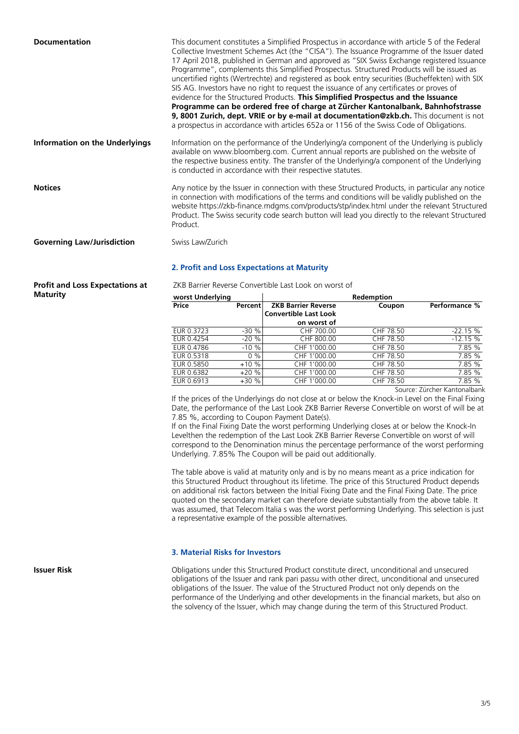| <b>Documentation</b>              | This document constitutes a Simplified Prospectus in accordance with article 5 of the Federal<br>Collective Investment Schemes Act (the "CISA"). The Issuance Programme of the Issuer dated<br>17 April 2018, published in German and approved as "SIX Swiss Exchange registered Issuance<br>Programme", complements this Simplified Prospectus. Structured Products will be issued as<br>uncertified rights (Wertrechte) and registered as book entry securities (Bucheffekten) with SIX<br>SIS AG. Investors have no right to request the issuance of any certificates or proves of<br>evidence for the Structured Products. This Simplified Prospectus and the Issuance<br>Programme can be ordered free of charge at Zürcher Kantonalbank, Bahnhofstrasse<br>9, 8001 Zurich, dept. VRIE or by e-mail at documentation@zkb.ch. This document is not<br>a prospectus in accordance with articles 652a or 1156 of the Swiss Code of Obligations. |
|-----------------------------------|---------------------------------------------------------------------------------------------------------------------------------------------------------------------------------------------------------------------------------------------------------------------------------------------------------------------------------------------------------------------------------------------------------------------------------------------------------------------------------------------------------------------------------------------------------------------------------------------------------------------------------------------------------------------------------------------------------------------------------------------------------------------------------------------------------------------------------------------------------------------------------------------------------------------------------------------------|
| Information on the Underlyings    | Information on the performance of the Underlying/a component of the Underlying is publicly<br>available on www.bloomberg.com. Current annual reports are published on the website of<br>the respective business entity. The transfer of the Underlying/a component of the Underlying<br>is conducted in accordance with their respective statutes.                                                                                                                                                                                                                                                                                                                                                                                                                                                                                                                                                                                                |
| <b>Notices</b>                    | Any notice by the Issuer in connection with these Structured Products, in particular any notice<br>in connection with modifications of the terms and conditions will be validly published on the<br>website https://zkb-finance.mdgms.com/products/stp/index.html under the relevant Structured<br>Product. The Swiss security code search button will lead you directly to the relevant Structured<br>Product.                                                                                                                                                                                                                                                                                                                                                                                                                                                                                                                                   |
| <b>Governing Law/Jurisdiction</b> | Swiss Law/Zurich                                                                                                                                                                                                                                                                                                                                                                                                                                                                                                                                                                                                                                                                                                                                                                                                                                                                                                                                  |

ZKB Barrier Reverse Convertible Last Look on worst of

## **2. Profit and Loss Expectations at Maturity**

| worst Underlying |                |                                                            | Redemption |               |
|------------------|----------------|------------------------------------------------------------|------------|---------------|
| Price            | <b>Percent</b> | <b>ZKB Barrier Reverse</b><br><b>Convertible Last Look</b> | Coupon     | Performance % |
|                  |                | on worst of                                                |            |               |
| EUR 0.3723       | $-30%$         | CHF 700.00                                                 | CHF 78.50  | $-22.15%$     |
| EUR 0.4254       | $-20%$         | CHF 800.00                                                 | CHF 78.50  | $-12.15%$     |
| EUR 0.4786       | $-10%$         | CHF 1'000.00                                               | CHF 78.50  | 7.85 %        |
| EUR 0.5318       | $0\%$          | CHF 1'000.00                                               | CHF 78.50  | 7.85 %        |
| EUR 0.5850       | $+10%$         | CHF 1'000.00                                               | CHF 78.50  | 7.85 %        |
| EUR 0.6382       | $+20%$         | CHF 1'000.00                                               | CHF 78.50  | 7.85 %        |
| EUR 0.6913       | $+30%$         | CHF 1'000.00                                               | CHF 78.50  | 7.85 %        |
|                  |                |                                                            |            |               |

**Profit and Loss Expectations at Maturity**

Source: Zürcher Kantonalbank

If the prices of the Underlyings do not close at or below the Knock-in Level on the Final Fixing Date, the performance of the Last Look ZKB Barrier Reverse Convertible on worst of will be at 7.85 %, according to Coupon Payment Date(s).

If on the Final Fixing Date the worst performing Underlying closes at or below the Knock-In Levelthen the redemption of the Last Look ZKB Barrier Reverse Convertible on worst of will correspond to the Denomination minus the percentage performance of the worst performing Underlying. 7.85% The Coupon will be paid out additionally.

The table above is valid at maturity only and is by no means meant as a price indication for this Structured Product throughout its lifetime. The price of this Structured Product depends on additional risk factors between the Initial Fixing Date and the Final Fixing Date. The price quoted on the secondary market can therefore deviate substantially from the above table. It was assumed, that Telecom Italia s was the worst performing Underlying. This selection is just a representative example of the possible alternatives.

## **3. Material Risks for Investors**

**Issuer Risk Issuer Risk Obligations** under this Structured Product constitute direct, unconditional and unsecured obligations of the Issuer and rank pari passu with other direct, unconditional and unsecured obligations of the Issuer. The value of the Structured Product not only depends on the performance of the Underlying and other developments in the financial markets, but also on the solvency of the Issuer, which may change during the term of this Structured Product.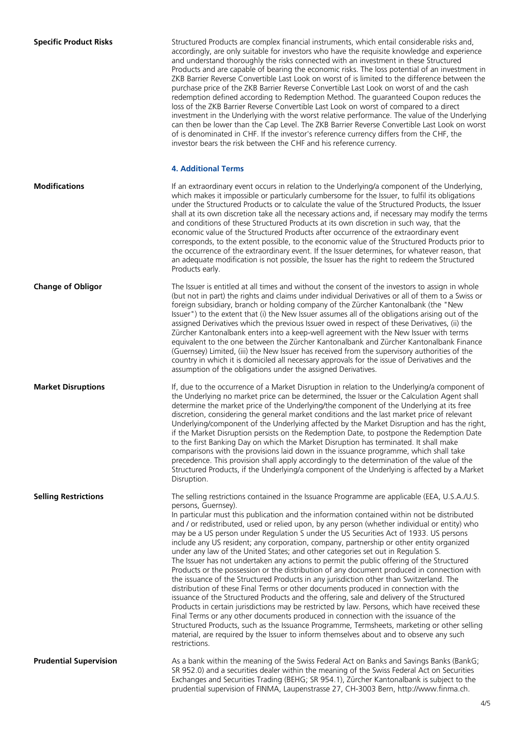| <b>Specific Product Risks</b> | Structured Products are complex financial instruments, which entail considerable risks and,<br>accordingly, are only suitable for investors who have the requisite knowledge and experience<br>and understand thoroughly the risks connected with an investment in these Structured<br>Products and are capable of bearing the economic risks. The loss potential of an investment in<br>ZKB Barrier Reverse Convertible Last Look on worst of is limited to the difference between the<br>purchase price of the ZKB Barrier Reverse Convertible Last Look on worst of and the cash<br>redemption defined according to Redemption Method. The guaranteed Coupon reduces the<br>loss of the ZKB Barrier Reverse Convertible Last Look on worst of compared to a direct<br>investment in the Underlying with the worst relative performance. The value of the Underlying<br>can then be lower than the Cap Level. The ZKB Barrier Reverse Convertible Last Look on worst<br>of is denominated in CHF. If the investor's reference currency differs from the CHF, the<br>investor bears the risk between the CHF and his reference currency.                                                                                                                                                                                                                                                                                                                                    |
|-------------------------------|------------------------------------------------------------------------------------------------------------------------------------------------------------------------------------------------------------------------------------------------------------------------------------------------------------------------------------------------------------------------------------------------------------------------------------------------------------------------------------------------------------------------------------------------------------------------------------------------------------------------------------------------------------------------------------------------------------------------------------------------------------------------------------------------------------------------------------------------------------------------------------------------------------------------------------------------------------------------------------------------------------------------------------------------------------------------------------------------------------------------------------------------------------------------------------------------------------------------------------------------------------------------------------------------------------------------------------------------------------------------------------------------------------------------------------------------------------------------------|
|                               | <b>4. Additional Terms</b>                                                                                                                                                                                                                                                                                                                                                                                                                                                                                                                                                                                                                                                                                                                                                                                                                                                                                                                                                                                                                                                                                                                                                                                                                                                                                                                                                                                                                                                   |
| <b>Modifications</b>          | If an extraordinary event occurs in relation to the Underlying/a component of the Underlying,<br>which makes it impossible or particularly cumbersome for the Issuer, to fulfil its obligations<br>under the Structured Products or to calculate the value of the Structured Products, the Issuer<br>shall at its own discretion take all the necessary actions and, if necessary may modify the terms<br>and conditions of these Structured Products at its own discretion in such way, that the<br>economic value of the Structured Products after occurrence of the extraordinary event<br>corresponds, to the extent possible, to the economic value of the Structured Products prior to<br>the occurrence of the extraordinary event. If the Issuer determines, for whatever reason, that<br>an adequate modification is not possible, the Issuer has the right to redeem the Structured<br>Products early.                                                                                                                                                                                                                                                                                                                                                                                                                                                                                                                                                             |
| <b>Change of Obligor</b>      | The Issuer is entitled at all times and without the consent of the investors to assign in whole<br>(but not in part) the rights and claims under individual Derivatives or all of them to a Swiss or<br>foreign subsidiary, branch or holding company of the Zürcher Kantonalbank (the "New<br>Issuer") to the extent that (i) the New Issuer assumes all of the obligations arising out of the<br>assigned Derivatives which the previous Issuer owed in respect of these Derivatives, (ii) the<br>Zürcher Kantonalbank enters into a keep-well agreement with the New Issuer with terms<br>equivalent to the one between the Zürcher Kantonalbank and Zürcher Kantonalbank Finance<br>(Guernsey) Limited, (iii) the New Issuer has received from the supervisory authorities of the<br>country in which it is domiciled all necessary approvals for the issue of Derivatives and the<br>assumption of the obligations under the assigned Derivatives.                                                                                                                                                                                                                                                                                                                                                                                                                                                                                                                      |
| <b>Market Disruptions</b>     | If, due to the occurrence of a Market Disruption in relation to the Underlying/a component of<br>the Underlying no market price can be determined, the Issuer or the Calculation Agent shall<br>determine the market price of the Underlying/the component of the Underlying at its free<br>discretion, considering the general market conditions and the last market price of relevant<br>Underlying/component of the Underlying affected by the Market Disruption and has the right,<br>if the Market Disruption persists on the Redemption Date, to postpone the Redemption Date<br>to the first Banking Day on which the Market Disruption has terminated. It shall make<br>comparisons with the provisions laid down in the issuance programme, which shall take<br>precedence. This provision shall apply accordingly to the determination of the value of the<br>Structured Products, if the Underlying/a component of the Underlying is affected by a Market<br>Disruption.                                                                                                                                                                                                                                                                                                                                                                                                                                                                                          |
| <b>Selling Restrictions</b>   | The selling restrictions contained in the Issuance Programme are applicable (EEA, U.S.A./U.S.<br>persons, Guernsey).<br>In particular must this publication and the information contained within not be distributed<br>and / or redistributed, used or relied upon, by any person (whether individual or entity) who<br>may be a US person under Regulation S under the US Securities Act of 1933. US persons<br>include any US resident; any corporation, company, partnership or other entity organized<br>under any law of the United States; and other categories set out in Regulation S.<br>The Issuer has not undertaken any actions to permit the public offering of the Structured<br>Products or the possession or the distribution of any document produced in connection with<br>the issuance of the Structured Products in any jurisdiction other than Switzerland. The<br>distribution of these Final Terms or other documents produced in connection with the<br>issuance of the Structured Products and the offering, sale and delivery of the Structured<br>Products in certain jurisdictions may be restricted by law. Persons, which have received these<br>Final Terms or any other documents produced in connection with the issuance of the<br>Structured Products, such as the Issuance Programme, Termsheets, marketing or other selling<br>material, are required by the Issuer to inform themselves about and to observe any such<br>restrictions. |
| <b>Prudential Supervision</b> | As a bank within the meaning of the Swiss Federal Act on Banks and Savings Banks (BankG;<br>SR 952.0) and a securities dealer within the meaning of the Swiss Federal Act on Securities<br>Exchanges and Securities Trading (BEHG; SR 954.1), Zürcher Kantonalbank is subject to the<br>prudential supervision of FINMA, Laupenstrasse 27, CH-3003 Bern, http://www.finma.ch.                                                                                                                                                                                                                                                                                                                                                                                                                                                                                                                                                                                                                                                                                                                                                                                                                                                                                                                                                                                                                                                                                                |